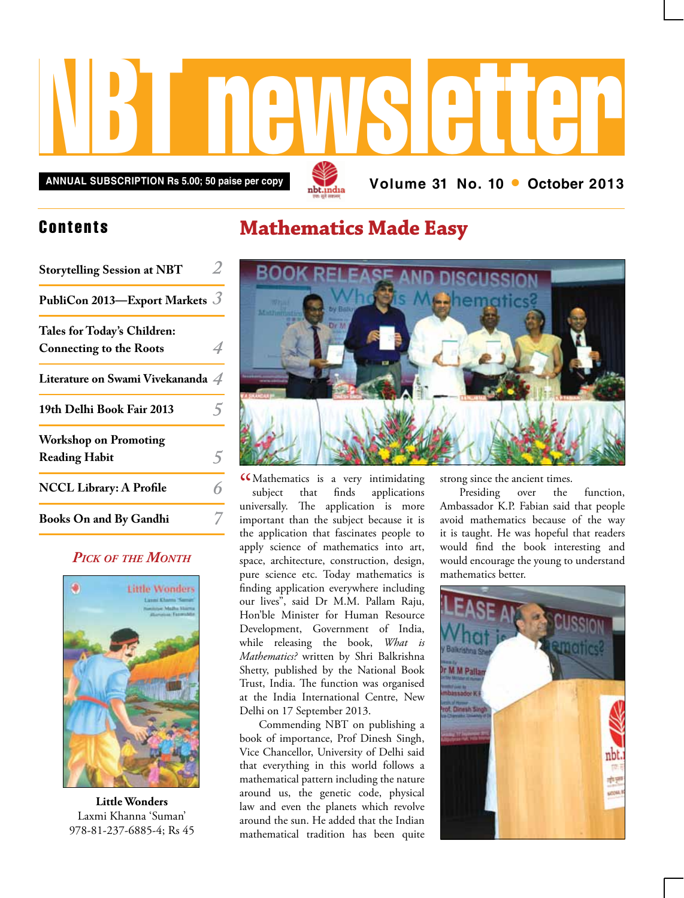

**Annual subscription Rs 5.00; 50 paise per copy Volume 31 No. 10 • October 2013**

## **Contents**

| <b>Storytelling Session at NBT</b>                            |  |
|---------------------------------------------------------------|--|
| PubliCon 2013—Export Markets $\beta$                          |  |
| Tales for Today's Children:<br><b>Connecting to the Roots</b> |  |
| Literature on Swami Vivekananda 4                             |  |
| 19th Delhi Book Fair 2013                                     |  |
| <b>Workshop on Promoting</b><br><b>Reading Habit</b>          |  |
| <b>NCCL Library: A Profile</b>                                |  |
| <b>Books On and By Gandhi</b>                                 |  |

### *Pick of the Month*



**Little Wonders** Laxmi Khanna 'Suman' 978-81-237-6885-4; Rs 45

## **Mathematics Made Easy**



CCMathematics is a very intimidating<br>subject that finds applications subject that finds applications universally. The application is more important than the subject because it is the application that fascinates people to apply science of mathematics into art, space, architecture, construction, design, pure science etc. Today mathematics is finding application everywhere including our lives", said Dr M.M. Pallam Raju, Hon'ble Minister for Human Resource Development, Government of India, while releasing the book, *What is Mathematics?* written by Shri Balkrishna Shetty, published by the National Book Trust, India. The function was organised at the India International Centre, New Delhi on 17 September 2013.

Commending NBT on publishing a book of importance, Prof Dinesh Singh, Vice Chancellor, University of Delhi said that everything in this world follows a mathematical pattern including the nature around us, the genetic code, physical law and even the planets which revolve around the sun. He added that the Indian mathematical tradition has been quite

strong since the ancient times.

Presiding over the function, Ambassador K.P. Fabian said that people avoid mathematics because of the way it is taught. He was hopeful that readers would find the book interesting and would encourage the young to understand mathematics better.

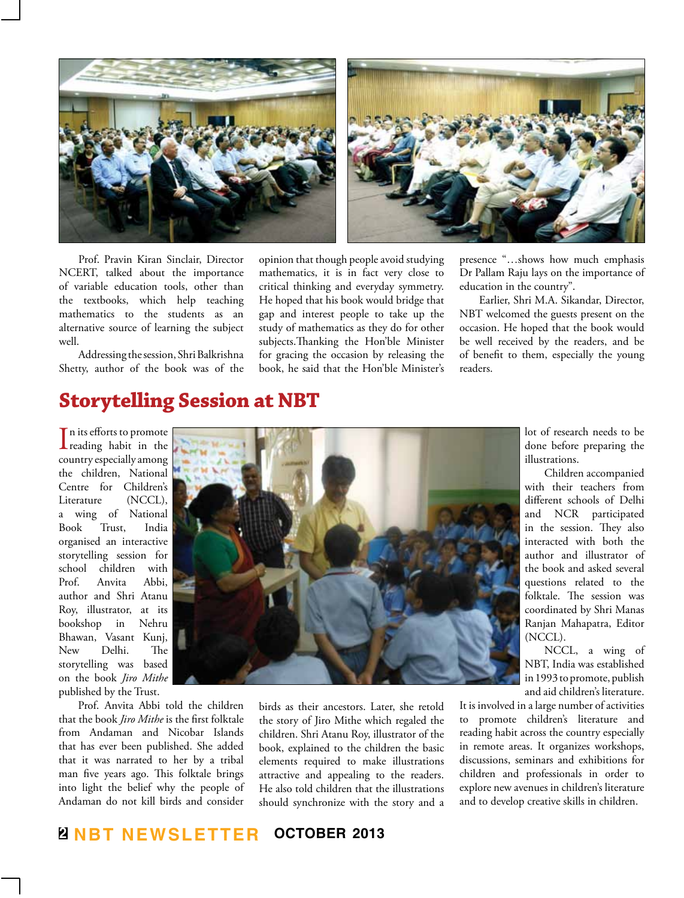

Prof. Pravin Kiran Sinclair, Director NCERT, talked about the importance of variable education tools, other than the textbooks, which help teaching mathematics to the students as an alternative source of learning the subject well.

Addressing the session, Shri Balkrishna Shetty, author of the book was of the

opinion that though people avoid studying mathematics, it is in fact very close to critical thinking and everyday symmetry. He hoped that his book would bridge that gap and interest people to take up the study of mathematics as they do for other subjects.Thanking the Hon'ble Minister for gracing the occasion by releasing the book, he said that the Hon'ble Minister's presence "…shows how much emphasis Dr Pallam Raju lays on the importance of education in the country".

Earlier, Shri M.A. Sikandar, Director, NBT welcomed the guests present on the occasion. He hoped that the book would be well received by the readers, and be of benefit to them, especially the young readers.

## **Storytelling Session at NBT**

 $\prod$ n its efforts to promote<br>reading habit in the In its efforts to promote country especially among the children, National Centre for Children's Literature (NCCL), a wing of National Book Trust, India organised an interactive storytelling session for school children with Prof. Anvita Abbi, author and Shri Atanu Roy, illustrator, at its bookshop in Nehru Bhawan, Vasant Kunj, New Delhi. The storytelling was based on the book *Jiro Mithe* published by the Trust.

Prof. Anvita Abbi told the children that the book *Jiro Mithe* is the first folktale from Andaman and Nicobar Islands that has ever been published. She added that it was narrated to her by a tribal man five years ago. This folktale brings into light the belief why the people of Andaman do not kill birds and consider



birds as their ancestors. Later, she retold the story of Jiro Mithe which regaled the children. Shri Atanu Roy, illustrator of the book, explained to the children the basic elements required to make illustrations attractive and appealing to the readers. He also told children that the illustrations should synchronize with the story and a

lot of research needs to be done before preparing the illustrations.

Children accompanied with their teachers from different schools of Delhi and NCR participated in the session. They also interacted with both the author and illustrator of the book and asked several questions related to the folktale. The session was coordinated by Shri Manas Ranjan Mahapatra, Editor (NCCL).

NCCL, a wing of NBT, India was established in 1993 to promote, publish and aid children's literature.

It is involved in a large number of activities to promote children's literature and reading habit across the country especially in remote areas. It organizes workshops, discussions, seminars and exhibitions for children and professionals in order to explore new avenues in children's literature and to develop creative skills in children.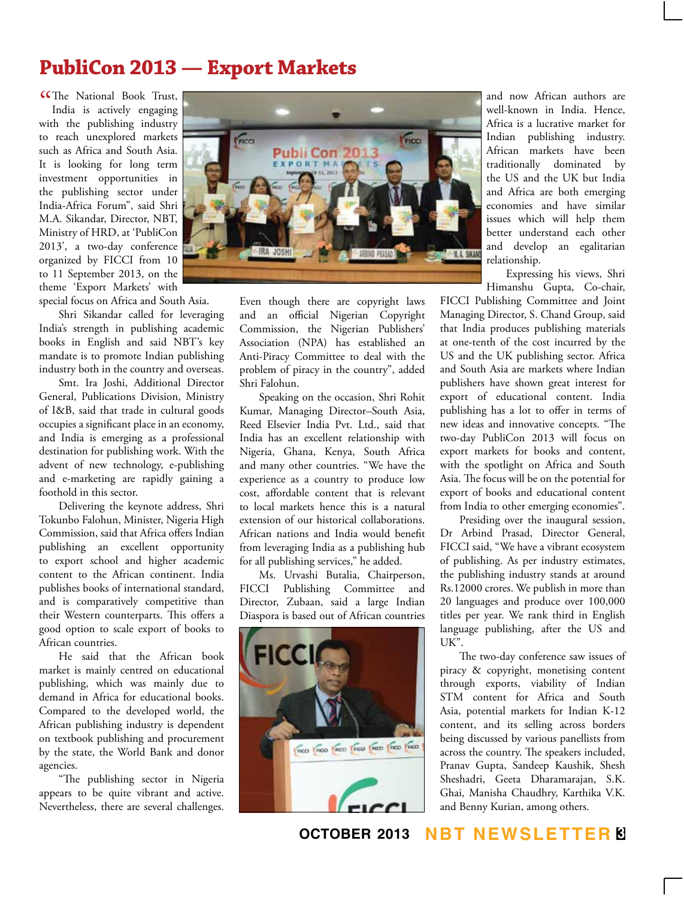## **PubliCon 2013 — Export Markets**

CThe National Book Trust,<br>India is actively engaging India is actively engaging with the publishing industry to reach unexplored markets such as Africa and South Asia. It is looking for long term investment opportunities in the publishing sector under India-Africa Forum", said Shri M.A. Sikandar, Director, NBT, Ministry of HRD, at 'PubliCon 2013', a two-day conference organized by FICCI from 10 to 11 September 2013, on the theme 'Export Markets' with

special focus on Africa and South Asia.

Shri Sikandar called for leveraging India's strength in publishing academic books in English and said NBT's key mandate is to promote Indian publishing industry both in the country and overseas.

Smt. Ira Joshi, Additional Director General, Publications Division, Ministry of I&B, said that trade in cultural goods occupies a significant place in an economy, and India is emerging as a professional destination for publishing work. With the advent of new technology, e-publishing and e-marketing are rapidly gaining a foothold in this sector.

Delivering the keynote address, Shri Tokunbo Falohun, Minister, Nigeria High Commission, said that Africa offers Indian publishing an excellent opportunity to export school and higher academic content to the African continent. India publishes books of international standard, and is comparatively competitive than their Western counterparts. This offers a good option to scale export of books to African countries.

He said that the African book market is mainly centred on educational publishing, which was mainly due to demand in Africa for educational books. Compared to the developed world, the African publishing industry is dependent on textbook publishing and procurement by the state, the World Bank and donor agencies.

"The publishing sector in Nigeria appears to be quite vibrant and active. Nevertheless, there are several challenges.



Even though there are copyright laws and an official Nigerian Copyright Commission, the Nigerian Publishers' Association (NPA) has established an Anti-Piracy Committee to deal with the problem of piracy in the country", added Shri Falohun.

Speaking on the occasion, Shri Rohit Kumar, Managing Director–South Asia, Reed Elsevier India Pvt. Ltd., said that India has an excellent relationship with Nigeria, Ghana, Kenya, South Africa and many other countries. "We have the experience as a country to produce low cost, affordable content that is relevant to local markets hence this is a natural extension of our historical collaborations. African nations and India would benefit from leveraging India as a publishing hub for all publishing services," he added.

Ms. Urvashi Butalia, Chairperson, FICCI Publishing Committee and Director, Zubaan, said a large Indian Diaspora is based out of African countries



and now African authors are well-known in India. Hence, Africa is a lucrative market for Indian publishing industry. African markets have been traditionally dominated by the US and the UK but India and Africa are both emerging economies and have similar issues which will help them better understand each other and develop an egalitarian relationship.

Expressing his views, Shri Himanshu Gupta, Co-chair,

FICCI Publishing Committee and Joint Managing Director, S. Chand Group, said that India produces publishing materials at one-tenth of the cost incurred by the US and the UK publishing sector. Africa and South Asia are markets where Indian publishers have shown great interest for export of educational content. India publishing has a lot to offer in terms of new ideas and innovative concepts. "The two-day PubliCon 2013 will focus on export markets for books and content, with the spotlight on Africa and South Asia. The focus will be on the potential for export of books and educational content from India to other emerging economies".

Presiding over the inaugural session, Dr Arbind Prasad, Director General, FICCI said, "We have a vibrant ecosystem of publishing. As per industry estimates, the publishing industry stands at around Rs.12000 crores. We publish in more than 20 languages and produce over 100,000 titles per year. We rank third in English language publishing, after the US and UK".

The two-day conference saw issues of piracy & copyright, monetising content through exports, viability of Indian STM content for Africa and South Asia, potential markets for Indian K-12 content, and its selling across borders being discussed by various panellists from across the country. The speakers included, Pranav Gupta, Sandeep Kaushik, Shesh Sheshadri, Geeta Dharamarajan, S.K. Ghai, Manisha Chaudhry, Karthika V.K. and Benny Kurian, among others.

**october 2013 NBT Newsletter 3**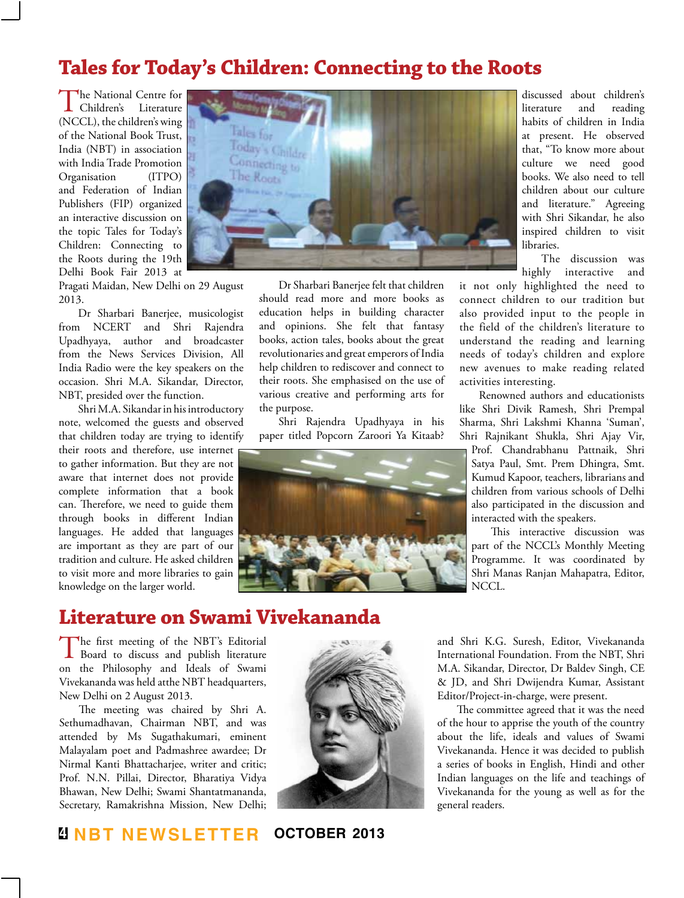## **Tales for Today's Children: Connecting to the Roots**

The National Centre for<br>Children's Literature (NCCL), the children's wing of the National Book Trust, India (NBT) in association with India Trade Promotion Organisation (ITPO) and Federation of Indian Publishers (FIP) organized an interactive discussion on the topic Tales for Today's Children: Connecting to the Roots during the 19th Delhi Book Fair 2013 at



Pragati Maidan, New Delhi on 29 August 2013.

Dr Sharbari Banerjee, musicologist from NCERT and Shri Rajendra Upadhyaya, author and broadcaster from the News Services Division, All India Radio were the key speakers on the occasion. Shri M.A. Sikandar, Director, NBT, presided over the function.

Shri M.A. Sikandar in his introductory note, welcomed the guests and observed that children today are trying to identify their roots and therefore, use internet to gather information. But they are not aware that internet does not provide complete information that a book can. Therefore, we need to guide them through books in different Indian languages. He added that languages are important as they are part of our tradition and culture. He asked children to visit more and more libraries to gain knowledge on the larger world.

Dr Sharbari Banerjee felt that children should read more and more books as education helps in building character and opinions. She felt that fantasy books, action tales, books about the great revolutionaries and great emperors of India help children to rediscover and connect to their roots. She emphasised on the use of various creative and performing arts for the purpose.

Shri Rajendra Upadhyaya in his paper titled Popcorn Zaroori Ya Kitaab?



discussed about children's literature and reading habits of children in India at present. He observed that, "To know more about culture we need good books. We also need to tell children about our culture and literature." Agreeing with Shri Sikandar, he also inspired children to visit libraries.

The discussion was highly interactive and

it not only highlighted the need to connect children to our tradition but also provided input to the people in the field of the children's literature to understand the reading and learning needs of today's children and explore new avenues to make reading related activities interesting.

Renowned authors and educationists like Shri Divik Ramesh, Shri Prempal Sharma, Shri Lakshmi Khanna 'Suman', Shri Rajnikant Shukla, Shri Ajay Vir,

Prof. Chandrabhanu Pattnaik, Shri Satya Paul, Smt. Prem Dhingra, Smt. Kumud Kapoor, teachers, librarians and children from various schools of Delhi also participated in the discussion and interacted with the speakers.

This interactive discussion was part of the NCCL's Monthly Meeting Programme. It was coordinated by Shri Manas Ranjan Mahapatra, Editor, NCCL.

## **Literature on Swami Vivekananda**

The first meeting of the NBT's Editorial Board to discuss and publish literature on the Philosophy and Ideals of Swami Vivekananda was held atthe NBT headquarters, New Delhi on 2 August 2013.

The meeting was chaired by Shri A. Sethumadhavan, Chairman NBT, and was attended by Ms Sugathakumari, eminent Malayalam poet and Padmashree awardee; Dr Nirmal Kanti Bhattacharjee, writer and critic; Prof. N.N. Pillai, Director, Bharatiya Vidya Bhawan, New Delhi; Swami Shantatmananda, Secretary, Ramakrishna Mission, New Delhi;



and Shri K.G. Suresh, Editor, Vivekananda International Foundation. From the NBT, Shri M.A. Sikandar, Director, Dr Baldev Singh, CE & JD, and Shri Dwijendra Kumar, Assistant Editor/Project-in-charge, were present.

The committee agreed that it was the need of the hour to apprise the youth of the country about the life, ideals and values of Swami Vivekananda. Hence it was decided to publish a series of books in English, Hindi and other Indian languages on the life and teachings of Vivekananda for the young as well as for the general readers.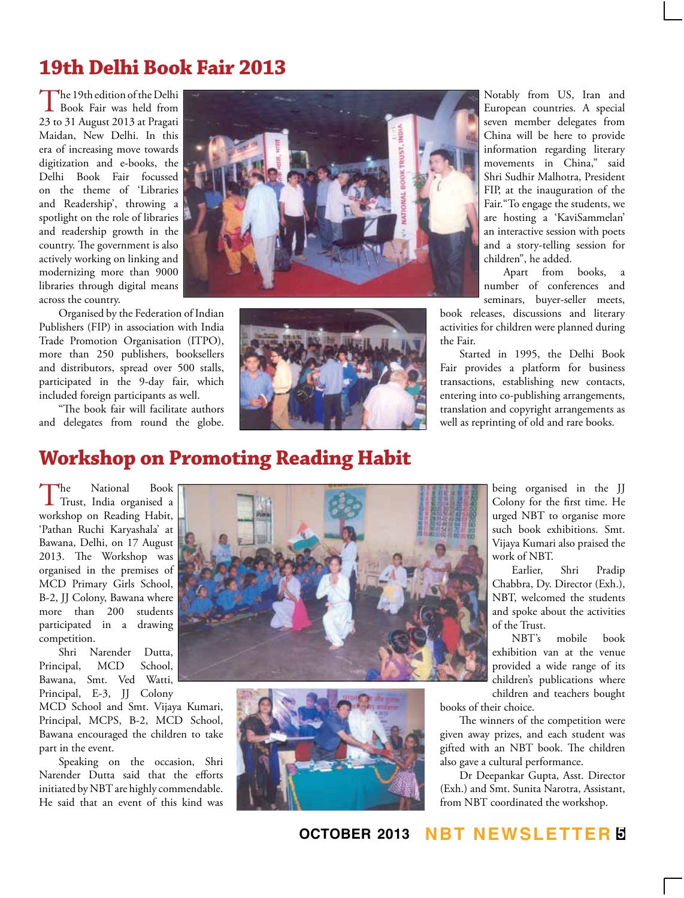# **19th Delhi Book Fair 2013**

The 19th edition of the Delhi Book Fair was held from 23 to 31 August 2013 at Pragati Maidan, New Delhi. In this era of increasing move towards digitization and e-books, the Delhi Book Fair focussed on the theme of 'Libraries and Readership', throwing a spotlight on the role of libraries and readership growth in the country. The government is also actively working on linking and modernizing more than 9000 libraries through digital means across the country.

Organised by the Federation of Indian Publishers (FIP) in association with India Trade Promotion Organisation (ITPO), more than 250 publishers, booksellers and distributors, spread over 500 stalls, participated in the 9-day fair, which included foreign participants as well.

"The book fair will facilitate authors and delegates from round the globe.





Notably from US, Iran and European countries. A special seven member delegates from China will be here to provide information regarding literary movements in China," said Shri Sudhir Malhotra, President FIP, at the inauguration of the Fair."To engage the students, we are hosting a 'KaviSammelan' an interactive session with poets and a story-telling session for children", he added.

Apart from books, a number of conferences and seminars, buyer-seller meets,

book releases, discussions and literary activities for children were planned during the Fair.

Started in 1995, the Delhi Book Fair provides a platform for business transactions, establishing new contacts, entering into co-publishing arrangements, translation and copyright arrangements as well as reprinting of old and rare books.

# **Workshop on Promoting Reading Habit**

The National Book Trust, India organised a workshop on Reading Habit, 'Pathan Ruchi Karyashala' at Bawana, Delhi, on 17 August 2013. The Workshop was organised in the premises of MCD Primary Girls School, B-2, JJ Colony, Bawana where more than 200 students participated in a drawing competition.

Shri Narender Dutta, Principal, MCD School, Bawana, Smt. Ved Watti, Principal, E-3, JJ Colony

MCD School and Smt. Vijaya Kumari, Principal, MCPS, B-2, MCD School, Bawana encouraged the children to take part in the event.

Speaking on the occasion, Shri Narender Dutta said that the efforts initiated by NBT are highly commendable. He said that an event of this kind was





being organised in the JJ Colony for the first time. He urged NBT to organise more such book exhibitions. Smt. Vijaya Kumari also praised the work of NBT.

Earlier, Shri Pradip Chabbra, Dy. Director (Exh.), NBT, welcomed the students and spoke about the activities of the Trust.

NBT's mobile book exhibition van at the venue provided a wide range of its children's publications where children and teachers bought

books of their choice.

The winners of the competition were given away prizes, and each student was gifted with an NBT book. The children also gave a cultural performance.

Dr Deepankar Gupta, Asst. Director (Exh.) and Smt. Sunita Narotra, Assistant, from NBT coordinated the workshop.

### **october 2013 NBT Newsletter 5**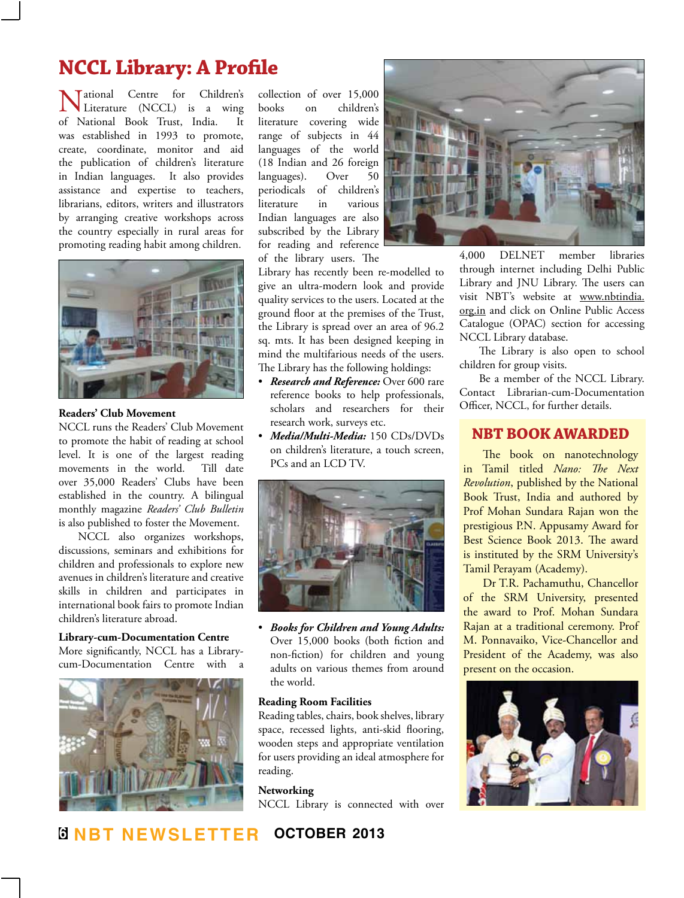# **NCCL Library: A Profile**

**Vational Centre for Children's**<br>Literature (NCCL) is a wing<br>National Book Trust India It Literature (NCCL) is a wing of National Book Trust, India. was established in 1993 to promote, create, coordinate, monitor and aid the publication of children's literature in Indian languages. It also provides assistance and expertise to teachers, librarians, editors, writers and illustrators by arranging creative workshops across the country especially in rural areas for promoting reading habit among children.



#### **Readers' Club Movement**

NCCL runs the Readers' Club Movement to promote the habit of reading at school level. It is one of the largest reading movements in the world. Till date over 35,000 Readers' Clubs have been established in the country. A bilingual monthly magazine *Readers' Club Bulletin*  is also published to foster the Movement.

NCCL also organizes workshops, discussions, seminars and exhibitions for children and professionals to explore new avenues in children's literature and creative skills in children and participates in international book fairs to promote Indian children's literature abroad.

#### **Library-cum-Documentation Centre**

More significantly, NCCL has a Librarycum-Documentation Centre with a



collection of over 15,000 books on children's literature covering wide range of subjects in 44 languages of the world (18 Indian and 26 foreign languages). Over 50 periodicals of children's literature in various Indian languages are also subscribed by the Library for reading and reference of the library users. The

Library has recently been re-modelled to give an ultra-modern look and provide quality services to the users. Located at the ground floor at the premises of the Trust, the Library is spread over an area of 96.2 sq. mts. It has been designed keeping in mind the multifarious needs of the users. The Library has the following holdings:

- • *Research and Reference:* Over 600 rare reference books to help professionals, scholars and researchers for their research work, surveys etc.
- • *Media/Multi-Media:* 150 CDs/DVDs on children's literature, a touch screen, PCs and an LCD TV.



• *Books for Children and Young Adults:*  Over 15,000 books (both fiction and non-fiction) for children and young adults on various themes from around the world.

#### **Reading Room Facilities**

Reading tables, chairs, book shelves, library space, recessed lights, anti-skid flooring, wooden steps and appropriate ventilation for users providing an ideal atmosphere for reading.

#### **Networking**

NCCL Library is connected with over



4,000 DELNET member libraries through internet including Delhi Public Library and JNU Library. The users can visit NBT's website at www.nbtindia. org.in and click on Online Public Access Catalogue (OPAC) section for accessing NCCL Library database.

The Library is also open to school children for group visits.

Be a member of the NCCL Library. Contact Librarian-cum-Documentation Officer, NCCL, for further details.

#### **NBT book awarded**

The book on nanotechnology in Tamil titled *Nano: The Next Revolution*, published by the National Book Trust, India and authored by Prof Mohan Sundara Rajan won the prestigious P.N. Appusamy Award for Best Science Book 2013. The award is instituted by the SRM University's Tamil Perayam (Academy).

Dr T.R. Pachamuthu, Chancellor of the SRM University, presented the award to Prof. Mohan Sundara Rajan at a traditional ceremony. Prof M. Ponnavaiko, Vice-Chancellor and President of the Academy, was also present on the occasion.

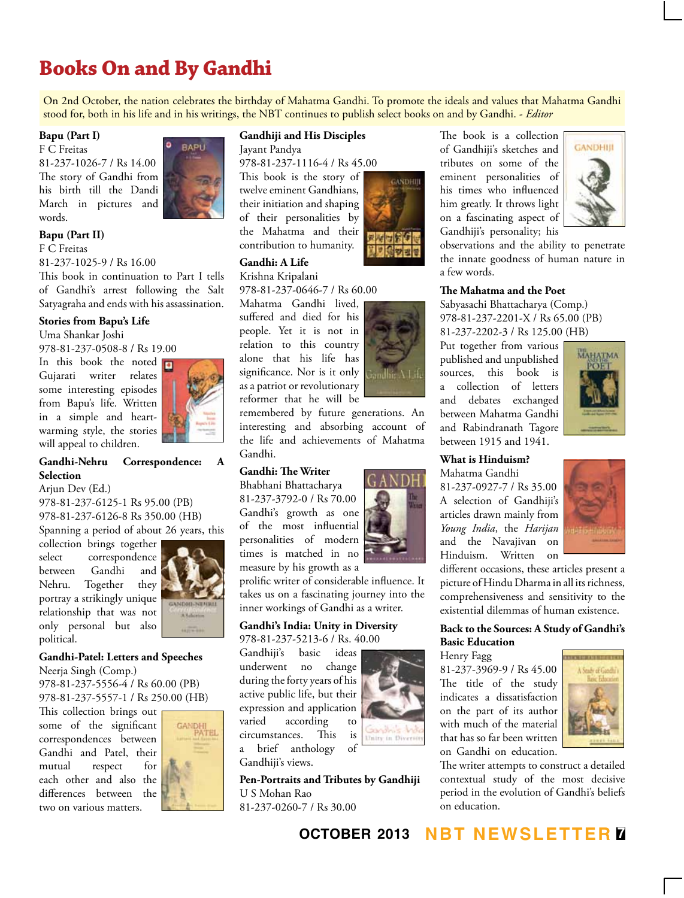# **Books On and By Gandhi**

On 2nd October, the nation celebrates the birthday of Mahatma Gandhi. To promote the ideals and values that Mahatma Gandhi stood for, both in his life and in his writings, the NBT continues to publish select books on and by Gandhi. - *Editor*

#### **Bapu (Part I)**

F C Freitas 81-237-1026-7 / Rs 14.00 The story of Gandhi from his birth till the Dandi March in pictures and words.



#### **Bapu (Part II)**

F C Freitas 81-237-1025-9 / Rs 16.00

This book in continuation to Part I tells of Gandhi's arrest following the Salt Satyagraha and ends with his assassination.

#### **Stories from Bapu's Life**

Uma Shankar Joshi

978-81-237-0508-8 / Rs 19.00

In this book the noted Gujarati writer relates some interesting episodes from Bapu's life. Written in a simple and heartwarming style, the stories will appeal to children.



### **Gandhi-Nehru Correspondence: A Selection**

Arjun Dev (Ed.)

978-81-237-6125-1 Rs 95.00 (PB) 978-81-237-6126-8 Rs 350.00 (HB) Spanning a period of about 26 years, this

collection brings together select correspondence between Gandhi and Nehru. Together they portray a strikingly unique relationship that was not only personal but also political.



#### **Gandhi-Patel: Letters and Speeches**

Neerja Singh (Comp.) 978-81-237-5556-4 / Rs 60.00 (PB) 978-81-237-5557-1 / Rs 250.00 (HB)

This collection brings out some of the significant correspondences between Gandhi and Patel, their mutual respect for each other and also the differences between the two on various matters.



### **Gandhiji and His Disciples**

Jayant Pandya

978-81-237-1116-4 / Rs 45.00

This book is the story of twelve eminent Gandhians, their initiation and shaping of their personalities by the Mahatma and their contribution to humanity.

### **Gandhi: A Life**

Krishna Kripalani 978-81-237-0646-7 / Rs 60.00

Mahatma Gandhi lived, suffered and died for his people. Yet it is not in relation to this country alone that his life has significance. Nor is it only as a patriot or revolutionary reformer that he will be

remembered by future generations. An interesting and absorbing account of the life and achievements of Mahatma Gandhi.

### **Gandhi: The Writer**

Bhabhani Bhattacharya 81-237-3792-0 / Rs 70.00 Gandhi's growth as one of the most influential personalities of modern times is matched in no measure by his growth as a

prolific writer of considerable influence. It takes us on a fascinating journey into the inner workings of Gandhi as a writer.

## **Gandhi's India: Unity in Diversity**

978-81-237-5213-6 / Rs. 40.00 Gandhiji's basic ideas underwent no change during the forty years of his active public life, but their expression and application varied according to circumstances. This is a brief anthology of



**Pen-Portraits and Tributes by Gandhiji** U S Mohan Rao 81-237-0260-7 / Rs 30.00



GANDHIII

of Gandhiji's sketches and tributes on some of the eminent personalities of his times who influenced him greatly. It throws light on a fascinating aspect of Gandhiji's personality; his

The book is a collection **GANDHIII** 

observations and the ability to penetrate the innate goodness of human nature in a few words.

#### **The Mahatma and the Poet**

Sabyasachi Bhattacharya (Comp.) 978-81-237-2201-X / Rs 65.00 (PB) 81-237-2202-3 / Rs 125.00 (HB)

Put together from various published and unpublished sources, this book is a collection of letters and debates exchanged between Mahatma Gandhi and Rabindranath Tagore between 1915 and 1941.



#### **What is Hinduism?**

Mahatma Gandhi 81-237-0927-7 / Rs 35.00 A selection of Gandhiji's articles drawn mainly from *Young India*, the *Harijan* and the Navajivan on Hinduism. Written on



different occasions, these articles present a picture of Hindu Dharma in all its richness, comprehensiveness and sensitivity to the existential dilemmas of human existence.

#### **Back to the Sources: A Study of Gandhi's Basic Education**

Henry Fagg

81-237-3969-9 / Rs 45.00 The title of the study indicates a dissatisfaction on the part of its author with much of the material that has so far been written on Gandhi on education.



The writer attempts to construct a detailed contextual study of the most decisive period in the evolution of Gandhi's beliefs on education.





nity in Divers